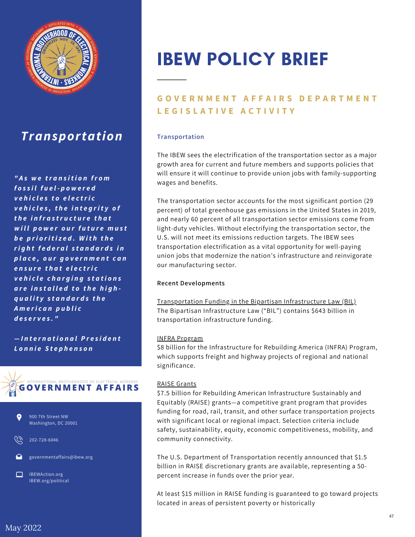

## *Transportation*

*" A s w e tr a n s i t i o n fr o m f o s s i l f u e l - p o w e r e d v e h i c l e s t o e le c tri c v e h i c l e s , t h e i n t e g ri t y o f t h e i n fr a s tr u c t u r e t h a t w i ll p o w e r o u r f u t u r e m u s t b e p ri o ri t i z e d .W i t h t h e ri g h t f e d e r a ls t a n d a r d s i n p la c e , o u r g o v e r n m e n t c a n e n s u r e t h a t e le c tri c v e h i c l e c h a r g in g s t a t i o n s a r e i n s t a ll e d t o t h e h ig h q u a li t y s t a n d a r d s t h e A m eri c a n p u b li c d e s e r v e s . "*

*— I n t e r n a t i o n a lP r e s i d e n t L o n n ie S t e p h e n s o n*





202-728-6046

governmentaffairs@ibew.org

IBEWAction.org IBEW.org/political

# IBEW POLICY BRIEF

### **GOVERNMENT AFFAIRS DEPARTMENT L E G I S L A T I V E A C T I V I T Y**

#### **Transportation**

The IBEW sees the electrification of the transportation sector as a major growth area for current and future members and supports policies that will ensure it will continue to provide union jobs with family-supporting wages and benefits.

The transportation sector accounts for the most significant portion (29 percent) of total greenhouse gas emissions in the United States in 2019, and nearly 60 percent of all transportation sector emissions come from light-duty vehicles. Without electrifying the transportation sector, the U.S. will not meet its emissions reduction targets. The IBEW sees transportation electrification as a vital opportunity for well-paying union jobs that modernize the nation's infrastructure and reinvigorate our manufacturing sector.

#### **Recent Developments**

Transportation Funding in the Bipartisan Infrastructure Law (BIL) The Bipartisan Infrastructure Law ("BIL") contains \$643 billion in transportation infrastructure funding.

#### INFRA Program

\$8 billion for the Infrastructure for Rebuilding America (INFRA) Program, which supports freight and highway projects of regional and national significance.

#### RAISE Grants

\$7.5 billion for Rebuilding American Infrastructure Sustainably and Equitably (RAISE) grants—a competitive grant program that provides funding for road, rail, transit, and other surface transportation projects with significant local or regional impact. Selection criteria include safety, sustainability, equity, economic competitiveness, mobility, and community connectivity.

The U.S. Department of Transportation recently announced that \$1.5 billion in RAISE discretionary grants are available, representing a 50 percent increase in funds over the prior year.

At least \$15 million in RAISE funding is guaranteed to go toward projects located in areas of persistent poverty or historically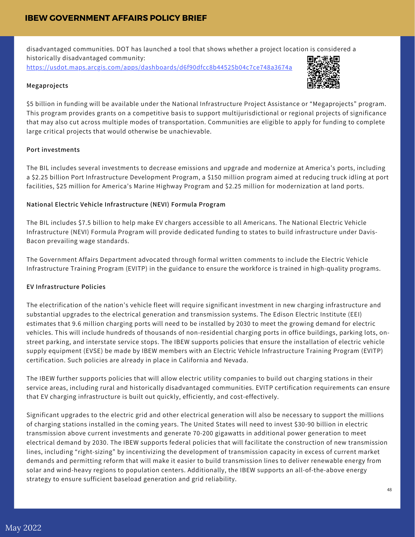disadvantaged communities. DOT has launched a tool that shows whether a project location is considered a historically disadvantaged community: <https://usdot.maps.arcgis.com/apps/dashboards/d6f90dfcc8b44525b04c7ce748a3674a>

#### **Megaprojects**



\$5 billion in funding will be available under the National Infrastructure Project Assistance or "Megaprojects" program. This program provides grants on a competitive basis to support multijurisdictional or regional projects of significance that may also cut across multiple modes of transportation. Communities are eligible to apply for funding to complete large critical projects that would otherwise be unachievable.

#### **Port investments**

The BIL includes several investments to decrease emissions and upgrade and modernize at America's ports, including a \$2.25 billion Port Infrastructure Development Program, a \$150 million program aimed at reducing truck idling at port facilities, \$25 million for America's Marine Highway Program and \$2.25 million for modernization at land ports.

#### **National Electric Vehicle Infrastructure (NEVI) Formula Program**

The BIL includes \$7.5 billion to help make EV chargers accessible to all Americans. The National Electric Vehicle Infrastructure (NEVI) Formula Program will provide dedicated funding to states to build infrastructure under Davis-Bacon prevailing wage standards.

The Government Affairs Department advocated through formal written comments to include the Electric Vehicle Infrastructure Training Program (EVITP) in the guidance to ensure the workforce is trained in high-quality programs.

#### **EV Infrastructure Policies**

The electrification of the nation's vehicle fleet will require significant investment in new charging infrastructure and substantial upgrades to the electrical generation and transmission systems. The Edison Electric Institute (EEI) estimates that 9.6 million charging ports will need to be installed by 2030 to meet the growing demand for electric vehicles. This will include hundreds of thousands of non-residential charging ports in office buildings, parking lots, onstreet parking, and interstate service stops. The IBEW supports policies that ensure the installation of electric vehicle supply equipment (EVSE) be made by IBEW members with an Electric Vehicle Infrastructure Training Program (EVITP) certification. Such policies are already in place in California and Nevada.

The IBEW further supports policies that will allow electric utility companies to build out charging stations in their service areas, including rural and historically disadvantaged communities. EVITP certification requirements can ensure that EV charging infrastructure is built out quickly, efficiently, and cost-effectively.

Significant upgrades to the electric grid and other electrical generation will also be necessary to support the millions of charging stations installed in the coming years. The United States will need to invest \$30-90 billion in electric transmission above current investments and generate 70-200 gigawatts in additional power generation to meet electrical demand by 2030. The IBEW supports federal policies that will facilitate the construction of new transmission lines, including "right-sizing" by incentivizing the development of transmission capacity in excess of current market demands and permitting reform that will make it easier to build transmission lines to deliver renewable energy from solar and wind-heavy regions to population centers. Additionally, the IBEW supports an all-of-the-above energy strategy to ensure sufficient baseload generation and grid reliability.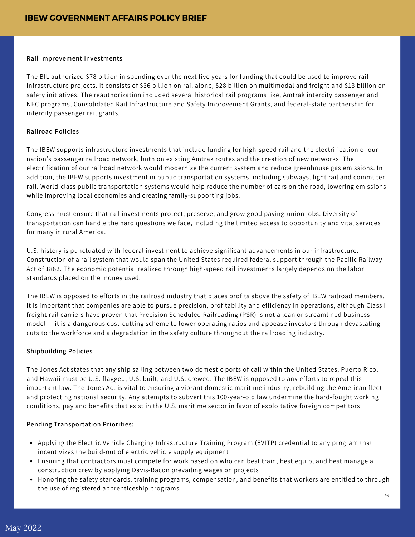#### **Rail Improvement Investments**

The BIL authorized \$78 billion in spending over the next five years for funding that could be used to improve rail infrastructure projects. It consists of \$36 billion on rail alone, \$28 billion on multimodal and freight and \$13 billion on safety initiatives. The reauthorization included several historical rail programs like, Amtrak intercity passenger and NEC programs, Consolidated Rail Infrastructure and Safety Improvement Grants, and federal-state partnership for intercity passenger rail grants.

#### **Railroad Policies**

The IBEW supports infrastructure investments that include funding for high-speed rail and the electrification of our nation's passenger railroad network, both on existing Amtrak routes and the creation of new networks. The electrification of our railroad network would modernize the current system and reduce greenhouse gas emissions. In addition, the IBEW supports investment in public transportation systems, including subways, light rail and commuter rail. World-class public transportation systems would help reduce the number of cars on the road, lowering emissions while improving local economies and creating family-supporting jobs.

Congress must ensure that rail investments protect, preserve, and grow good paying-union jobs. Diversity of transportation can handle the hard questions we face, including the limited access to opportunity and vital services for many in rural America.

U.S. history is punctuated with federal investment to achieve significant advancements in our infrastructure. Construction of a rail system that would span the United States required federal support through the Pacific Railway Act of 1862. The economic potential realized through high-speed rail investments largely depends on the labor standards placed on the money used.

The IBEW is opposed to efforts in the railroad industry that places profits above the safety of IBEW railroad members. It is important that companies are able to pursue precision, profitability and efficiency in operations, although Class I freight rail carriers have proven that Precision Scheduled Railroading (PSR) is not a lean or streamlined business model — it is a dangerous cost-cutting scheme to lower operating ratios and appease investors through devastating cuts to the workforce and a degradation in the safety culture throughout the railroading industry.

#### **Shipbuilding Policies**

The Jones Act states that any ship sailing between two domestic ports of call within the United States, Puerto Rico, and Hawaii must be U.S. flagged, U.S. built, and U.S. crewed. The IBEW is opposed to any efforts to repeal this important law. The Jones Act is vital to ensuring a vibrant domestic maritime industry, rebuilding the American fleet and protecting national security. Any attempts to subvert this 100-year-old law undermine the hard-fought working conditions, pay and benefits that exist in the U.S. maritime sector in favor of exploitative foreign competitors.

#### **Pending Transportation Priorities:**

- Applying the Electric Vehicle Charging Infrastructure Training Program (EVITP) credential to any program that incentivizes the build-out of electric vehicle supply equipment
- Ensuring that contractors must compete for work based on who can best train, best equip, and best manage a construction crew by applying Davis-Bacon prevailing wages on projects
- Honoring the safety standards, training programs, compensation, and benefits that workers are entitled to through the use of registered apprenticeship programs